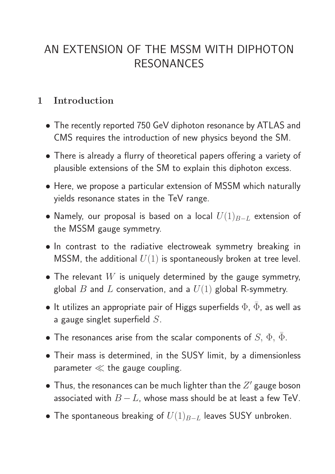# AN EXTENSION OF THE MSSM WITH DIPHOTON RESONANCES

## 1 Introduction

- The recently reported 750 GeV diphoton resonance by ATLAS and CMS requires the introduction of new physics beyond the SM.
- There is already a flurry of theoretical papers offering a variety of plausible extensions of the SM to explain this diphoton excess.
- Here, we propose a particular extension of MSSM which naturally yields resonance states in the TeV range.
- Namely, our proposal is based on a local  $U(1)_{B-L}$  extension of the MSSM gauge symmetry.
- In contrast to the radiative electroweak symmetry breaking in MSSM, the additional  $U(1)$  is spontaneously broken at tree level.
- The relevant  $W$  is uniquely determined by the gauge symmetry, global  $B$  and  $L$  conservation, and a  $U(1)$  global R-symmetry.
- $\bullet$  It utilizes an appropriate pair of Higgs superfields  $\Phi$ ,  $\bar{\Phi}$ , as well as a gauge singlet superfield  $S$ .
- The resonances arise from the scalar components of  $S, \Phi, \Phi$ .
- Their mass is determined, in the SUSY limit, by a dimensionless parameter  $\ll$  the gauge coupling.
- $\bullet$  Thus, the resonances can be much lighter than the  $Z'$  gauge boson associated with  $B - L$ , whose mass should be at least a few TeV.
- The spontaneous breaking of  $U(1)_{B-L}$  leaves SUSY unbroken.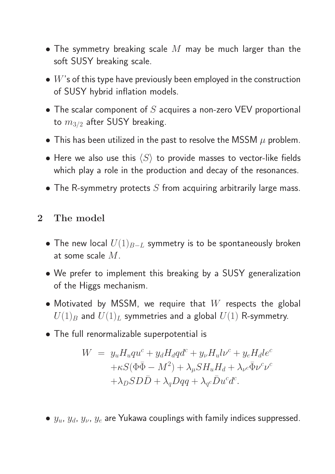- The symmetry breaking scale  $M$  may be much larger than the soft SUSY breaking scale.
- $\bullet$   $W$ 's of this type have previously been employed in the construction of SUSY hybrid inflation models.
- The scalar component of  $S$  acquires a non-zero VEV proportional to  $m_{3/2}$  after SUSY breaking.
- This has been utilized in the past to resolve the MSSM  $\mu$  problem.
- Here we also use this  $\langle S \rangle$  to provide masses to vector-like fields which play a role in the production and decay of the resonances.
- The R-symmetry protects  $S$  from acquiring arbitrarily large mass.

## 2 The model

- The new local  $U(1)_{B-L}$  symmetry is to be spontaneously broken at some scale M.
- We prefer to implement this breaking by a SUSY generalization of the Higgs mechanism.
- Motivated by MSSM, we require that  $W$  respects the global  $U(1)_B$  and  $U(1)_L$  symmetries and a global  $U(1)$  R-symmetry.
- The full renormalizable superpotential is

$$
W = y_u H_u qu^c + y_d H_d q d^c + y_\nu H_u l \nu^c + y_e H_d l e^c
$$
  
+ $\kappa S (\Phi \bar{\Phi} - M^2) + \lambda_\mu S H_u H_d + \lambda_{\nu} c \bar{\Phi} \nu^c \nu^c$   
+ $\lambda_D S D \bar{D} + \lambda_q D q q + \lambda_{q} c \bar{D} u^c d^c.$ 

•  $y_u$ ,  $y_d$ ,  $y_v$ ,  $y_e$  are Yukawa couplings with family indices suppressed.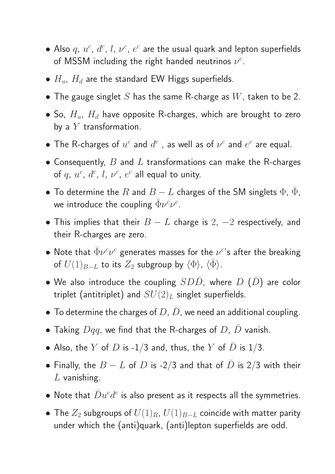- $\bullet$  Also  $q$ ,  $u^c$ ,  $d^c$ ,  $l$ ,  $\nu^c$ ,  $e^c$  are the usual quark and lepton superfields of MSSM including the right handed neutrinos  $\nu^c$ .
- $H_u$ ,  $H_d$  are the standard EW Higgs superfields.
- The gauge singlet  $S$  has the same R-charge as  $W$ , taken to be 2.
- So,  $H_u$ ,  $H_d$  have opposite R-charges, which are brought to zero by a  $Y$  transformation.
- The R-charges of  $u^c$  and  $d^c$  , as well as of  $\nu^c$  and  $e^c$  are equal.
- Consequently,  $B$  and  $L$  transformations can make the R-charges of  $q, u^c, d^c, l, \nu^c, e^c$  all equal to unity.
- To determine the  $R$  and  $B-L$  charges of the SM singlets  $\Phi$ ,  $\bar{\Phi}$ , we introduce the coupling  $\bar{\Phi} \nu^c \nu^c$ .
- This implies that their  $B L$  charge is 2,  $-2$  respectively, and their R-charges are zero.
- $\bullet$  Note that  $\bar{\Phi} \nu^c \nu^c$  generates masses for the  $\nu^c$ 's after the breaking of  $U(1)_{B-L}$  to its  $Z_2$  subgroup by  $\langle \Phi \rangle$ ,  $\langle \bar{\Phi} \rangle$ .
- We also introduce the coupling  $SD\bar{D}$ , where  $D$   $(\bar{D})$  are color triplet (antitriplet) and  $SU(2)_L$  singlet superfields.
- To determine the charges of  $D, \bar{D}$ , we need an additional coupling.
- Taking  $Dqq$ , we find that the R-charges of D, D vanish.
- Also, the Y of D is -1/3 and, thus, the Y of D is 1/3.
- Finally, the  $B L$  of  $D$  is -2/3 and that of  $D$  is 2/3 with their  $L$  vanishing.
- $\bullet$  Note that  $\bar{D}u^cd^c$  is also present as it respects all the symmetries.
- The  $Z_2$  subgroups of  $U(1)_{R}$ ,  $U(1)_{B-L}$  coincide with matter parity under which the (anti)quark, (anti)lepton superfields are odd.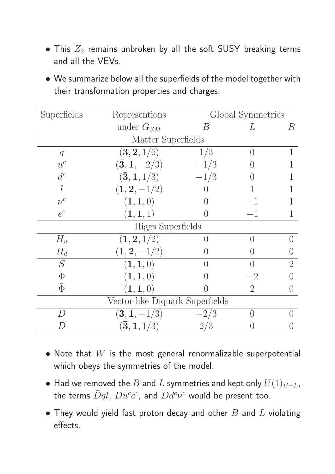- This  $Z_2$  remains unbroken by all the soft SUSY breaking terms and all the VEVs.
- We summarize below all the superfields of the model together with their transformation properties and charges.

| Superfields                     | Representions                        | Global Symmetries |                  |                  |
|---------------------------------|--------------------------------------|-------------------|------------------|------------------|
|                                 | under $G_{SM}$                       | В                 | L                | R                |
| Matter Superfields              |                                      |                   |                  |                  |
| $\boldsymbol{q}$                | (3, 2, 1/6)                          | 1/3               | $\left( \right)$ |                  |
| $u^c$                           | $(\bar{3}, 1, -2/3)$                 | $-1/3$            |                  |                  |
| $d^c$                           | $(\bar{3}, 1, 1/3)$                  | $-1/3$            |                  |                  |
|                                 | $(1, 2, -1/2)$                       |                   |                  |                  |
| $\nu^c$                         | (1, 1, 0)                            |                   | $-1$             |                  |
| $e^c$                           | (1, 1, 1)                            | $\left( \right)$  | $-1$             |                  |
| Higgs Superfields               |                                      |                   |                  |                  |
| $H_u$                           | (1, 2, 1/2)                          |                   | $\left( \right)$ | $\left( \right)$ |
| $H_d$                           | $(1, 2, -1/2)$                       |                   | ( )              |                  |
| S                               | (1, 1, 0)                            | $\left( \right)$  | $\bigcap$        | $\overline{2}$   |
| $\Phi$                          | (1, 1, 0)                            |                   | $-2$             |                  |
| $\bar{\Phi}$                    | (1, 1, 0)                            |                   | $\overline{2}$   | $\left( \right)$ |
| Vector-like Diquark Superfields |                                      |                   |                  |                  |
| $\overline{L}$                  | $(3,1,-1/3)$                         | $-2/3$            | $\left( \right)$ |                  |
|                                 | $(\mathbf{\bar{3}}, \mathbf{1},1/3)$ | 2/3               |                  |                  |

- Note that  $W$  is the most general renormalizable superpotential which obeys the symmetries of the model.
- Had we removed the B and L symmetries and kept only  $U(1)_{B-L}$ , the terms  $\bar{D}ql, \, Du^ce^c$ , and  $Dd^c\nu^c$  would be present too.
- They would yield fast proton decay and other  $B$  and  $L$  violating effects.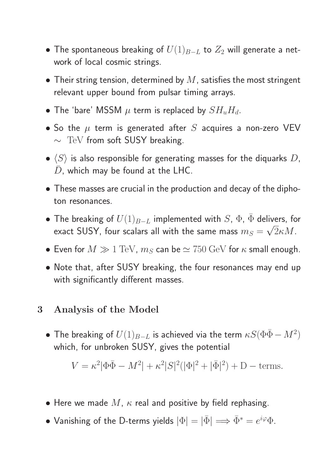- The spontaneous breaking of  $U(1)_{B-L}$  to  $Z_2$  will generate a network of local cosmic strings.
- Their string tension, determined by  $M$ , satisfies the most stringent relevant upper bound from pulsar timing arrays.
- The 'bare' MSSM  $\mu$  term is replaced by  $SH_uH_d$ .
- So the  $\mu$  term is generated after S acquires a non-zero VEV ∼ TeV from soft SUSY breaking.
- $\bullet$   $\langle S \rangle$  is also responsible for generating masses for the diquarks D,  $D$ , which may be found at the LHC.
- These masses are crucial in the production and decay of the diphoton resonances.
- The breaking of  $U(1)_{B-L}$  implemented with S,  $\Phi$ ,  $\Phi$  delivers, for exact SUSY, four scalars all with the same mass  $m_S = \frac{1}{2}$ √  $2\kappa M$ .
- Even for  $M \gg 1 \text{ TeV}$ ,  $m_S$  can be  $\simeq 750 \text{ GeV}$  for  $\kappa$  small enough.
- Note that, after SUSY breaking, the four resonances may end up with significantly different masses.

### 3 Analysis of the Model

 $\bullet$  The breaking of  $U(1)_{B-L}$  is achieved via the term  $\kappa S(\Phi\bar\Phi-M^2)$ which, for unbroken SUSY, gives the potential

$$
V = \kappa^2 |\Phi \bar{\Phi} - M^2| + \kappa^2 |S|^2 (|\Phi|^2 + |\bar{\Phi}|^2) + D - \text{terms.}
$$

- Here we made  $M$ ,  $\kappa$  real and positive by field rephasing.
- Vanishing of the D-terms yields  $|\Phi|=|\bar{\Phi}| \Longrightarrow \bar{\Phi}^* = e^{i\varphi} \Phi$ .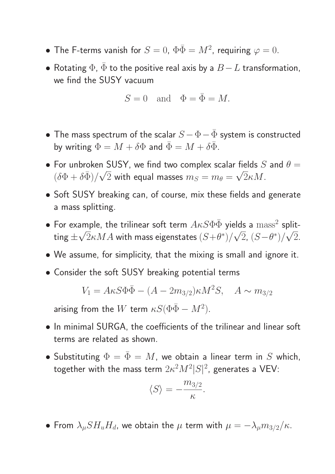- The F-terms vanish for  $S=0$ ,  $\Phi\bar{\Phi}=M^2$ , requiring  $\varphi=0$ .
- Rotating  $\Phi$ ,  $\bar{\Phi}$  to the positive real axis by a  $B-L$  transformation, we find the SUSY vacuum

$$
S = 0 \quad \text{and} \quad \Phi = \bar{\Phi} = M.
$$

- The mass spectrum of the scalar  $S \Phi \bar{\Phi}$  system is constructed by writing  $\Phi = M + \delta \Phi$  and  $\bar{\Phi} = M + \delta \bar{\Phi}$ .
- For unbroken SUSY, we find two complex scalar fields S and  $\theta =$  $(\delta \Phi + \delta \bar{\Phi}) / \sqrt{\frac{2}{\pi}}$  $2$  with equal masses  $m_S = m_\theta =$ √  $2\kappa M$ .
- Soft SUSY breaking can, of course, mix these fields and generate a mass splitting.
- For example, the trilinear soft term  $A\kappa S\Phi\bar\Phi$  yields a  ${\rm mass^2}$  splitting  $\pm$ √  $2\kappa MA$  with mass eigenstates  $(S{+}\theta^*)/2$ √  $2, (S-\theta^*)/$ √ 2.
- We assume, for simplicity, that the mixing is small and ignore it.
- Consider the soft SUSY breaking potential terms

$$
V_1 = A\kappa S \Phi \bar{\Phi} - (A - 2m_{3/2})\kappa M^2 S, \quad A \sim m_{3/2}
$$

arising from the  $W$  term  $\kappa S(\Phi\bar\Phi-M^2).$ 

- In minimal SURGA, the coefficients of the trilinear and linear soft terms are related as shown.
- Substituting  $\Phi = \bar{\Phi} = M$ , we obtain a linear term in S which, together with the mass term  $2\kappa^2M^2|S|^2$ , generates a VEV:

$$
\langle S \rangle = -\frac{m_{3/2}}{\kappa}.
$$

• From  $\lambda_{\mu} S H_{u} H_{d}$ , we obtain the  $\mu$  term with  $\mu = -\lambda_{\mu} m_{3/2}/\kappa$ .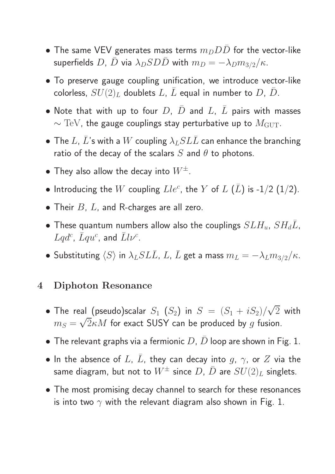- The same VEV generates mass terms  $m_D D D$  for the vector-like superfields D,  $\bar{D}$  via  $\lambda_D SD\bar{D}$  with  $m_D = -\lambda_D m_{3/2}/\kappa$ .
- To preserve gauge coupling unification, we introduce vector-like colorless,  $SU(2)_L$  doublets  $L$ ,  $\overline{L}$  equal in number to  $D$ ,  $\overline{D}$ .
- Note that with up to four  $D, \bar{D}$  and  $L, \bar{L}$  pairs with masses  $\sim$  TeV, the gauge couplings stay perturbative up to  $M_{\text{GUT}}$ .
- The L,  $\bar{L}$ 's with a  $W$  coupling  $\lambda_L SL\bar{L}$  can enhance the branching ratio of the decay of the scalars  $S$  and  $\theta$  to photons.
- They also allow the decay into  $W^{\pm}$ .
- $\bullet$  Introducing the  $W$  coupling  $Lle^c$ , the  $Y$  of  $L$   $(\bar L)$  is -1/2  $(1/2).$
- Their  $B$ ,  $L$ , and R-charges are all zero.
- These quantum numbers allow also the couplings  $SLH_u$ ,  $SH_dL$ ,  $Lqd^c$ ,  $\bar{L}qu^c$ , and  $\bar{L}l\nu^c$ .
- Substituting  $\langle S \rangle$  in  $\lambda_L SL\bar{L}$ ,  $L$ ,  $\bar{L}$  get a mass  $m_L = -\lambda_L m_{3/2}/\kappa$ .

#### 4 Diphoton Resonance

- $\bullet$  The real (pseudo)scalar  $S_1$   $(S_2)$  in  $S~=~(S_1 + i S_2) /$ √ 2 with  $m_S =$ √  $2\kappa M$  for exact SUSY can be produced by  $g$  fusion.
- The relevant graphs via a fermionic  $D$ ,  $D$  loop are shown in Fig. 1.
- In the absence of L,  $\overline{L}$ , they can decay into g,  $\gamma$ , or  $Z$  via the same diagram, but not to  $W^{\pm}$  since D,  $\bar{D}$  are  $SU(2)_L$  singlets.
- The most promising decay channel to search for these resonances is into two  $\gamma$  with the relevant diagram also shown in Fig. 1.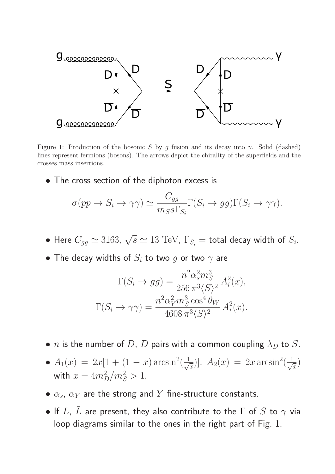

Figure 1: Production of the bosonic S by g fusion and its decay into  $\gamma$ . Solid (dashed) lines represent fermions (bosons). The arrows depict the chirality of the superfields and the crosses mass insertions.

• The cross section of the diphoton excess is

$$
\sigma(pp \to S_i \to \gamma\gamma) \simeq \frac{C_{gg}}{m_S s \Gamma_{S_i}} \Gamma(S_i \to gg) \Gamma(S_i \to \gamma\gamma).
$$

- Here  $C_{gg} \simeq 3163$ ,  $\sqrt{s} \simeq 13 \text{ TeV}$ ,  $\Gamma_{S_i} =$  total decay width of  $S_i$ .
- The decay widths of  $S_i$  to two g or two  $\gamma$  are

$$
\Gamma(S_i \to gg) = \frac{n^2 \alpha_s^2 m_S^3}{256 \pi^3 \langle S \rangle^2} A_i^2(x),
$$
  

$$
\Gamma(S_i \to \gamma \gamma) = \frac{n^2 \alpha_Y^2 m_S^3 \cos^4 \theta_W}{4608 \pi^3 \langle S \rangle^2} A_i^2(x).
$$

- *n* is the number of D,  $\bar{D}$  pairs with a common coupling  $\lambda_D$  to S.
- $A_1(x) = 2x[1 + (1 x) \arcsin^2(\frac{1}{\sqrt{x}})]$  $(\frac{1}{x})$ ],  $A_2(x) = 2x \arcsin^2(\frac{1}{\sqrt{x}})$  $\frac{1}{x}$ with  $x = 4m_D^2/m_S^2 > 1$ .
- $\bullet$   $\alpha_s$ ,  $\alpha_Y$  are the strong and  $Y$  fine-structure constants.
- If  $L$ ,  $\bar{L}$  are present, they also contribute to the  $\Gamma$  of  $S$  to  $\gamma$  via loop diagrams similar to the ones in the right part of Fig. 1.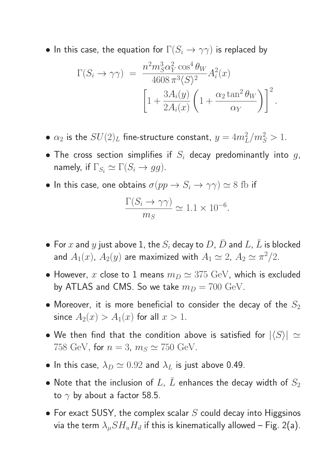• In this case, the equation for  $\Gamma(S_i \to \gamma \gamma)$  is replaced by

$$
\Gamma(S_i \to \gamma \gamma) = \frac{n^2 m_S^3 \alpha_Y^2 \cos^4 \theta_W}{4608 \pi^3 \langle S \rangle^2} A_i^2(x)
$$

$$
\left[1 + \frac{3 A_i(y)}{2 A_i(x)} \left(1 + \frac{\alpha_2 \tan^2 \theta_W}{\alpha_Y}\right)\right]^2.
$$

- $\bullet$   $\alpha_2$  is the  $SU(2)_L$  fine-structure constant,  $y = 4m_L^2/m_S^2 > 1$ .
- The cross section simplifies if  $S_i$  decay predominantly into  $g$ , namely, if  $\Gamma_{S_i} \simeq \Gamma(S_i \to gg)$ .
- In this case, one obtains  $\sigma(pp \to S_i \to \gamma\gamma) \simeq 8 \text{ fb}$  if

$$
\frac{\Gamma(S_i \to \gamma \gamma)}{m_S} \simeq 1.1 \times 10^{-6}.
$$

- For  $x$  and  $y$  just above 1, the  $S_i$  decay to  $D, \bar{D}$  and  $L, \bar{L}$  is blocked and  $A_1(x)$ ,  $A_2(y)$  are maximized with  $A_1 \simeq 2$ ,  $A_2 \simeq \pi^2/2$ .
- However, x close to 1 means  $m_D \simeq 375 \text{ GeV}$ , which is excluded by ATLAS and CMS. So we take  $m_D = 700 \text{ GeV}$ .
- Moreover, it is more beneficial to consider the decay of the  $S_2$ since  $A_2(x) > A_1(x)$  for all  $x > 1$ .
- We then find that the condition above is satisfied for  $|\langle S \rangle| \simeq$ 758 GeV, for  $n = 3$ ,  $m<sub>S</sub> \simeq 750$  GeV.
- In this case,  $\lambda_D \simeq 0.92$  and  $\lambda_L$  is just above 0.49.
- Note that the inclusion of L,  $\bar{L}$  enhances the decay width of  $S_2$ to  $\gamma$  by about a factor 58.5.
- For exact SUSY, the complex scalar  $S$  could decay into Higgsinos via the term  $\lambda_{\mu}SH_{u}H_{d}$  if this is kinematically allowed – Fig. 2(a).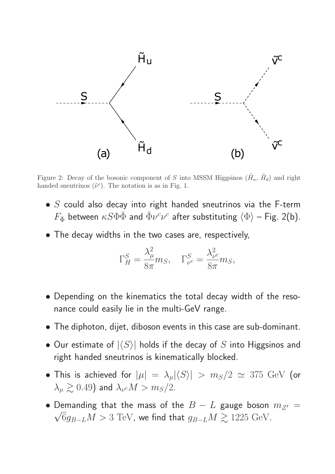

Figure 2: Decay of the bosonic component of S into MSSM Higgsinos  $(\tilde{H}_u, \tilde{H}_d)$  and right handed sneutrinos  $(\tilde{\nu}^c)$ . The notation is as in Fig. 1.

- $S$  could also decay into right handed sneutrinos via the F-term  $F_{\bar{\Phi}}$  between  $\kappa S \Phi \bar{\Phi}$  and  $\bar{\Phi} \nu^c \nu^c$  after substituting  $\langle \Phi \rangle$  – Fig. 2(b).
- The decay widths in the two cases are, respectively,

$$
\Gamma_H^S = \frac{\lambda_\mu^2}{8\pi} m_S, \quad \Gamma_{\nu^c}^S = \frac{\lambda_{\nu^c}^2}{8\pi} m_S,
$$

- Depending on the kinematics the total decay width of the resonance could easily lie in the multi-GeV range.
- The diphoton, dijet, diboson events in this case are sub-dominant.
- Our estimate of  $|\langle S \rangle|$  holds if the decay of S into Higgsinos and right handed sneutrinos is kinematically blocked.
- This is achieved for  $|\mu| = \lambda_{\mu} |\langle S \rangle| > m_S/2 \simeq 375 \,\text{ GeV}$  (or  $\lambda_\mu \gtrsim 0.49$ ) and  $\lambda_{\nu^c} M > m_S/2.$
- Demanding that the mass of the  $B L$  gauge boson  $m_{Z'} =$  $\sqrt{6}g_{B-L}M > 3$  TeV, we find that  $g_{B-L}M \gtrsim 1225$  GeV.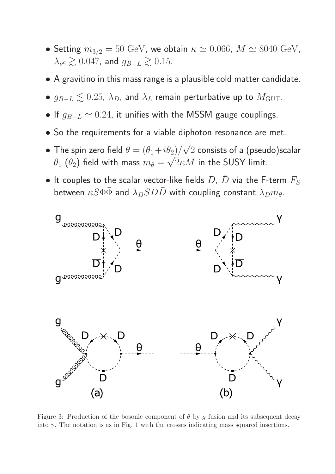- Setting  $m_{3/2} = 50$  GeV, we obtain  $\kappa \simeq 0.066$ ,  $M \simeq 8040$  GeV,  $\lambda_{\nu^c} \gtrsim 0.047$ , and  $g_{B-L} \gtrsim 0.15$ .
- A gravitino in this mass range is a plausible cold matter candidate.
- $g_{B-L} \lesssim 0.25$ ,  $\lambda_D$ , and  $\lambda_L$  remain perturbative up to  $M_{\text{GUT}}$ .
- If  $g_{B-L} \simeq 0.24$ , it unifies with the MSSM gauge couplings.
- So the requirements for a viable diphoton resonance are met.
- The spin zero field  $\theta = (\theta_1 + i \theta_2)/2$ √  $2$  consists of a (pseudo)scalar  $\theta_1$   $(\theta_2)$  field with mass  $m_\theta =$ √  $2\kappa M$  in the SUSY limit.
- It couples to the scalar vector-like fields  $D, \bar D$  via the F-term  $F_S$ between  $\kappa S \Phi \bar{\Phi}$  and  $\lambda_D SD\bar{D}$  with coupling constant  $\lambda_D m_{\theta}$ .



Figure 3: Production of the bosonic component of  $\theta$  by q fusion and its subsequent decay into  $\gamma$ . The notation is as in Fig. 1 with the crosses indicating mass squared insertions.